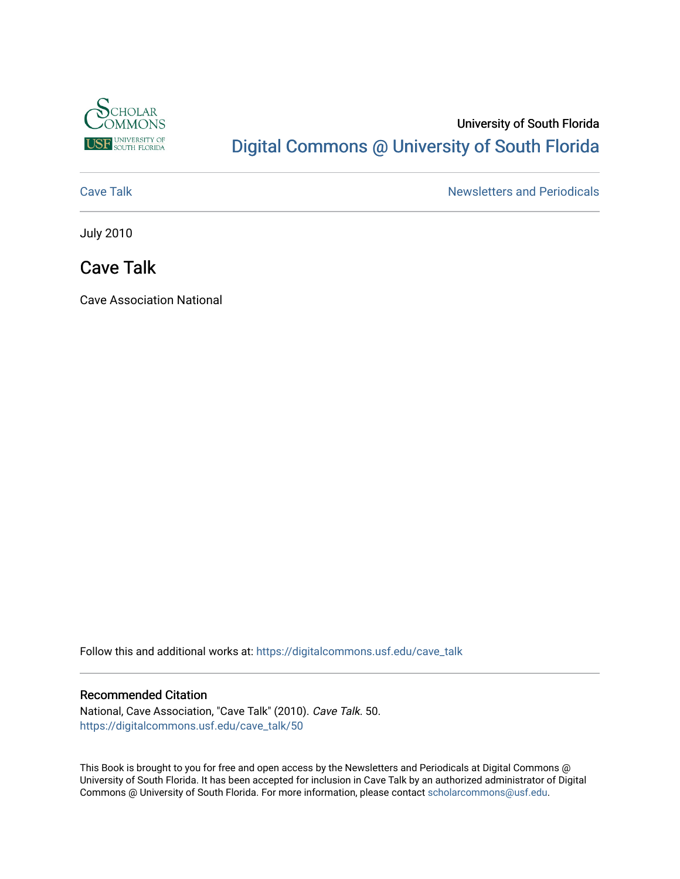

# University of South Florida [Digital Commons @ University of South Florida](https://digitalcommons.usf.edu/)

[Cave Talk](https://digitalcommons.usf.edu/cave_talk) **Newsletters** and Periodicals

July 2010

## Cave Talk

Cave Association National

Follow this and additional works at: [https://digitalcommons.usf.edu/cave\\_talk](https://digitalcommons.usf.edu/cave_talk?utm_source=digitalcommons.usf.edu%2Fcave_talk%2F50&utm_medium=PDF&utm_campaign=PDFCoverPages) 

#### Recommended Citation

National, Cave Association, "Cave Talk" (2010). Cave Talk. 50. [https://digitalcommons.usf.edu/cave\\_talk/50](https://digitalcommons.usf.edu/cave_talk/50?utm_source=digitalcommons.usf.edu%2Fcave_talk%2F50&utm_medium=PDF&utm_campaign=PDFCoverPages)

This Book is brought to you for free and open access by the Newsletters and Periodicals at Digital Commons @ University of South Florida. It has been accepted for inclusion in Cave Talk by an authorized administrator of Digital Commons @ University of South Florida. For more information, please contact [scholarcommons@usf.edu](mailto:scholarcommons@usf.edu).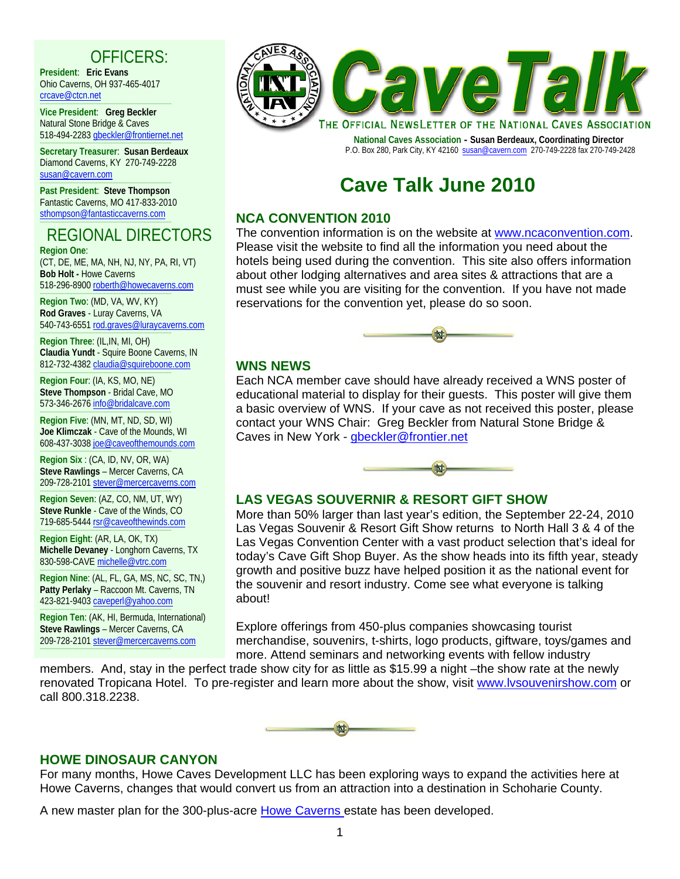# OFFICERS:

**President**: **Eric Evans** Ohio Caverns, OH 937-465-4017 crcave@ctcn.net

----------------------------------------------------------------------------------------- **Vice President**: **Greg Beckler**  Natural Stone Bridge & Caves 518-494-2283 gbeckler@frontiernet.net

----------------------------------------------------------------------------------------- **Secretary Treasurer**: **Susan Berdeaux** Diamond Caverns, KY 270-749-2228 susan@cavern.com

----------------------------------------------------------------------------------------- **Past President**: **Steve Thompson** Fantastic Caverns, MO 417-833-2010 sthompson@fantasticcaverns.com -----------------------------------------------------------------------------------------

#### REGIONAL DIRECTORS **Region One**:

(CT, DE, ME, MA, NH, NJ, NY, PA, RI, VT) **Bob Holt -** Howe Caverns 518-296-8900 roberth@howecaverns.com

----------------------------------------------------------------------------------------- **Region Two**: (MD, VA, WV, KY) **Rod Graves** - Luray Caverns, VA 540-743-6551 rod.graves@luraycaverns.com

----------------------------------------------------------------------------------------- **Region Three**: (IL,IN, MI, OH) **Claudia Yundt** - Squire Boone Caverns, IN 812-732-4382 claudia@squireboone.com

----------------------------------------------------------------------------------------- **Region Four**: (IA, KS, MO, NE) **Steve Thompson** - Bridal Cave, MO 573-346-2676 info@bridalcave.com

----------------------------------------------------------------------------------------- **Region Five**: (MN, MT, ND, SD, WI) **Joe Klimczak** - Cave of the Mounds, WI 608-437-3038 joe@caveofthemounds.com

----------------------------------------------------------------------------------------- **Region Six** : (CA, ID, NV, OR, WA) **Steve Rawlings** – Mercer Caverns, CA 209-728-2101 stever@mercercaverns.com

----------------------------------------------------------------------------------------- **Region Seven**: (AZ, CO, NM, UT, WY) **Steve Runkle** - Cave of the Winds, CO 719-685-5444 rsr@caveofthewinds.com

----------------------------------------------------------------------------------------- **Region Eight**: (AR, LA, OK, TX) **Michelle Devaney** - Longhorn Caverns, TX 830-598-CAVE michelle@vtrc.com

----------------------------------------------------------------------------------------- **Region Nine**: (AL, FL, GA, MS, NC, SC, TN,) **Patty Perlaky** – Raccoon Mt. Caverns, TN 423-821-9403 caveperl@yahoo.com

----------------------------------------------------------------------------------------- **Region Ten**: (AK, HI, Bermuda, International) **Steve Rawlings** – Mercer Caverns, CA 209-728-2101 stever@mercercaverns.com -----------------------------------------------------------------------------------------



 **National Caves Association - Susan Berdeaux, Coordinating Director** P.O. Box 280, Park City, KY 42160 susan@cavern.com 270-749-2228 fax 270-749-2428

# **Cave Talk June 2010**

#### **NCA CONVENTION 2010**

The convention information is on the website at www.ncaconvention.com. Please visit the website to find all the information you need about the hotels being used during the convention. This site also offers information about other lodging alternatives and area sites & attractions that are a must see while you are visiting for the convention. If you have not made reservations for the convention yet, please do so soon.



#### **WNS NEWS**

Each NCA member cave should have already received a WNS poster of educational material to display for their guests. This poster will give them a basic overview of WNS. If your cave as not received this poster, please contact your WNS Chair: Greg Beckler from Natural Stone Bridge & Caves in New York - gbeckler@frontier.net



#### **LAS VEGAS SOUVERNIR & RESORT GIFT SHOW**

More than 50% larger than last year's edition, the September 22-24, 2010 Las Vegas Souvenir & Resort Gift Show returns to North Hall 3 & 4 of the Las Vegas Convention Center with a vast product selection that's ideal for today's Cave Gift Shop Buyer. As the show heads into its fifth year, steady growth and positive buzz have helped position it as the national event for the souvenir and resort industry. Come see what everyone is talking about!

Explore offerings from 450-plus companies showcasing tourist merchandise, souvenirs, t-shirts, logo products, giftware, toys/games and more. Attend seminars and networking events with fellow industry

members. And, stay in the perfect trade show city for as little as \$15.99 a night –the show rate at the newly renovated Tropicana Hotel. To pre-register and learn more about the show, visit www.lvsouvenirshow.com or call 800.318.2238.



#### **HOWE DINOSAUR CANYON**

For many months, Howe Caves Development LLC has been exploring ways to expand the activities here at Howe Caverns, changes that would convert us from an attraction into a destination in Schoharie County.

A new master plan for the 300-plus-acre Howe Caverns estate has been developed.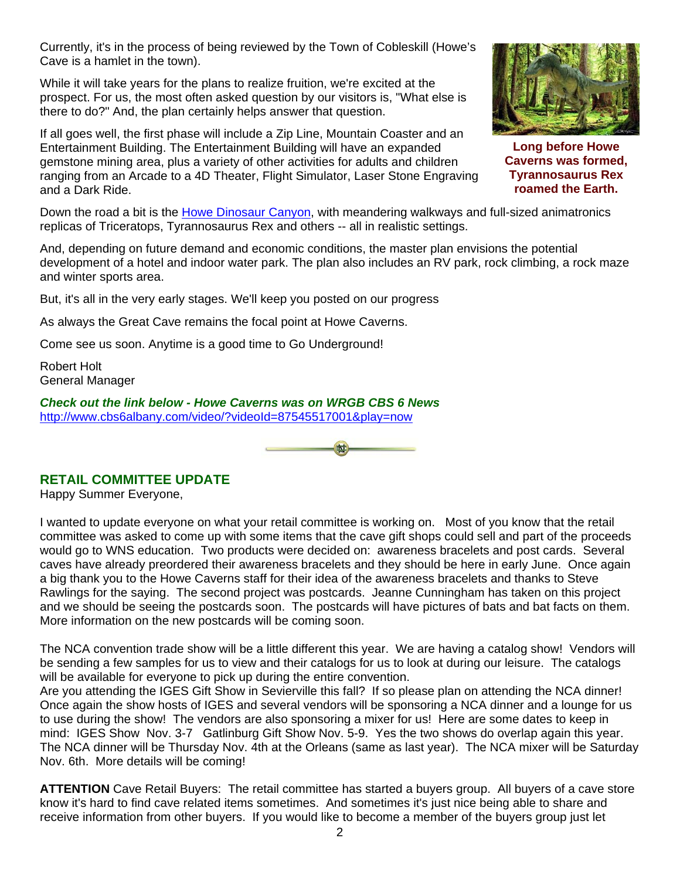Currently, it's in the process of being reviewed by the Town of Cobleskill (Howe's Cave is a hamlet in the town).

While it will take years for the plans to realize fruition, we're excited at the prospect. For us, the most often asked question by our visitors is, "What else is there to do?" And, the plan certainly helps answer that question.

If all goes well, the first phase will include a Zip Line, Mountain Coaster and an Entertainment Building. The Entertainment Building will have an expanded gemstone mining area, plus a variety of other activities for adults and children ranging from an Arcade to a 4D Theater, Flight Simulator, Laser Stone Engraving and a Dark Ride.

Down the road a bit is the **Howe Dinosaur Canyon**, with meandering walkways and full-sized animatronics replicas of Triceratops, Tyrannosaurus Rex and others -- all in realistic settings.

And, depending on future demand and economic conditions, the master plan envisions the potential development of a hotel and indoor water park. The plan also includes an RV park, rock climbing, a rock maze and winter sports area.

But, it's all in the very early stages. We'll keep you posted on our progress

As always the Great Cave remains the focal point at Howe Caverns.

Come see us soon. Anytime is a good time to Go Underground!

Robert Holt General Manager

*Check out the link below - Howe Caverns was on WRGB CBS 6 News* http://www.cbs6albany.com/video/?videoId=87545517001&play=now



### **RETAIL COMMITTEE UPDATE**

Happy Summer Everyone,

I wanted to update everyone on what your retail committee is working on. Most of you know that the retail committee was asked to come up with some items that the cave gift shops could sell and part of the proceeds would go to WNS education. Two products were decided on: awareness bracelets and post cards. Several caves have already preordered their awareness bracelets and they should be here in early June. Once again a big thank you to the Howe Caverns staff for their idea of the awareness bracelets and thanks to Steve Rawlings for the saying. The second project was postcards. Jeanne Cunningham has taken on this project and we should be seeing the postcards soon. The postcards will have pictures of bats and bat facts on them. More information on the new postcards will be coming soon.

The NCA convention trade show will be a little different this year. We are having a catalog show! Vendors will be sending a few samples for us to view and their catalogs for us to look at during our leisure. The catalogs will be available for everyone to pick up during the entire convention.

Are you attending the IGES Gift Show in Sevierville this fall? If so please plan on attending the NCA dinner! Once again the show hosts of IGES and several vendors will be sponsoring a NCA dinner and a lounge for us to use during the show! The vendors are also sponsoring a mixer for us! Here are some dates to keep in mind: IGES Show Nov. 3-7 Gatlinburg Gift Show Nov. 5-9. Yes the two shows do overlap again this year. The NCA dinner will be Thursday Nov. 4th at the Orleans (same as last year). The NCA mixer will be Saturday Nov. 6th. More details will be coming!

**ATTENTION** Cave Retail Buyers: The retail committee has started a buyers group. All buyers of a cave store know it's hard to find cave related items sometimes. And sometimes it's just nice being able to share and receive information from other buyers. If you would like to become a member of the buyers group just let



**Long before Howe Caverns was formed, Tyrannosaurus Rex roamed the Earth.**